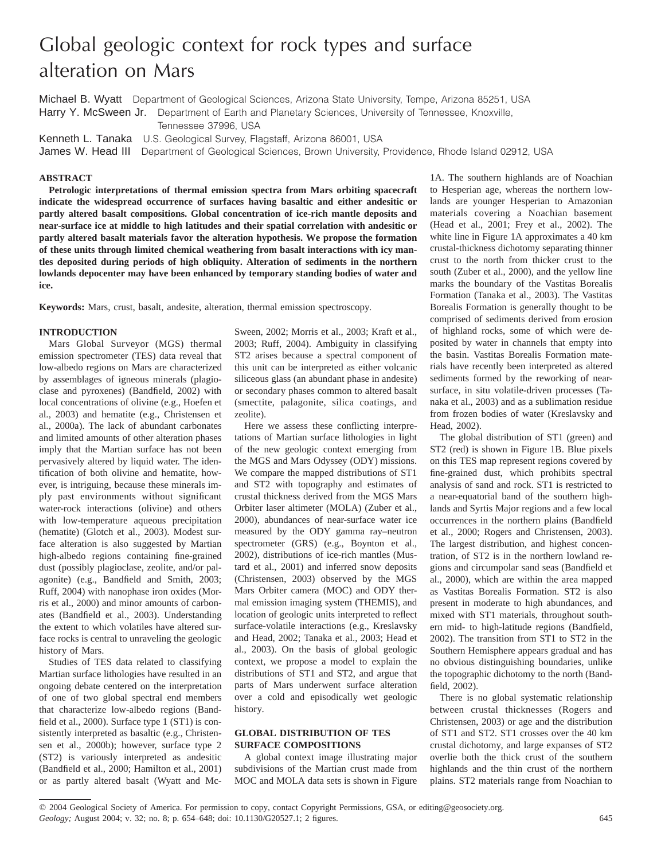# Global geologic context for rock types and surface alteration on Mars

Michael B. Wyatt Department of Geological Sciences, Arizona State University, Tempe, Arizona 85251, USA Harry Y. McSween Jr. Department of Earth and Planetary Sciences, University of Tennessee, Knoxville, Tennessee 37996, USA

Kenneth L. Tanaka U.S. Geological Survey, Flagstaff, Arizona 86001, USA

James W. Head III Department of Geological Sciences, Brown University, Providence, Rhode Island 02912, USA

#### **ABSTRACT**

**Petrologic interpretations of thermal emission spectra from Mars orbiting spacecraft indicate the widespread occurrence of surfaces having basaltic and either andesitic or partly altered basalt compositions. Global concentration of ice-rich mantle deposits and near-surface ice at middle to high latitudes and their spatial correlation with andesitic or partly altered basalt materials favor the alteration hypothesis. We propose the formation of these units through limited chemical weathering from basalt interactions with icy mantles deposited during periods of high obliquity. Alteration of sediments in the northern lowlands depocenter may have been enhanced by temporary standing bodies of water and ice.**

**Keywords:** Mars, crust, basalt, andesite, alteration, thermal emission spectroscopy.

#### **INTRODUCTION**

Mars Global Surveyor (MGS) thermal emission spectrometer (TES) data reveal that low-albedo regions on Mars are characterized by assemblages of igneous minerals (plagioclase and pyroxenes) (Bandfield, 2002) with local concentrations of olivine (e.g., Hoefen et al., 2003) and hematite (e.g., Christensen et al., 2000a). The lack of abundant carbonates and limited amounts of other alteration phases imply that the Martian surface has not been pervasively altered by liquid water. The identification of both olivine and hematite, however, is intriguing, because these minerals imply past environments without significant water-rock interactions (olivine) and others with low-temperature aqueous precipitation (hematite) (Glotch et al., 2003). Modest surface alteration is also suggested by Martian high-albedo regions containing fine-grained dust (possibly plagioclase, zeolite, and/or palagonite) (e.g., Bandfield and Smith, 2003; Ruff, 2004) with nanophase iron oxides (Morris et al., 2000) and minor amounts of carbonates (Bandfield et al., 2003). Understanding the extent to which volatiles have altered surface rocks is central to unraveling the geologic history of Mars.

Studies of TES data related to classifying Martian surface lithologies have resulted in an ongoing debate centered on the interpretation of one of two global spectral end members that characterize low-albedo regions (Bandfield et al., 2000). Surface type 1 (ST1) is consistently interpreted as basaltic (e.g., Christensen et al., 2000b); however, surface type 2 (ST2) is variously interpreted as andesitic (Bandfield et al., 2000; Hamilton et al., 2001) or as partly altered basalt (Wyatt and Mc-

Sween, 2002; Morris et al., 2003; Kraft et al., 2003; Ruff, 2004). Ambiguity in classifying ST2 arises because a spectral component of this unit can be interpreted as either volcanic siliceous glass (an abundant phase in andesite) or secondary phases common to altered basalt (smectite, palagonite, silica coatings, and zeolite).

Here we assess these conflicting interpretations of Martian surface lithologies in light of the new geologic context emerging from the MGS and Mars Odyssey (ODY) missions. We compare the mapped distributions of ST1 and ST2 with topography and estimates of crustal thickness derived from the MGS Mars Orbiter laser altimeter (MOLA) (Zuber et al., 2000), abundances of near-surface water ice measured by the ODY gamma ray–neutron spectrometer (GRS) (e.g., Boynton et al., 2002), distributions of ice-rich mantles (Mustard et al., 2001) and inferred snow deposits (Christensen, 2003) observed by the MGS Mars Orbiter camera (MOC) and ODY thermal emission imaging system (THEMIS), and location of geologic units interpreted to reflect surface-volatile interactions (e.g., Kreslavsky and Head, 2002; Tanaka et al., 2003; Head et al., 2003). On the basis of global geologic context, we propose a model to explain the distributions of ST1 and ST2, and argue that parts of Mars underwent surface alteration over a cold and episodically wet geologic history.

# **GLOBAL DISTRIBUTION OF TES SURFACE COMPOSITIONS**

A global context image illustrating major subdivisions of the Martian crust made from MOC and MOLA data sets is shown in Figure

1A. The southern highlands are of Noachian to Hesperian age, whereas the northern lowlands are younger Hesperian to Amazonian materials covering a Noachian basement (Head et al., 2001; Frey et al., 2002). The white line in Figure 1A approximates a 40 km crustal-thickness dichotomy separating thinner crust to the north from thicker crust to the south (Zuber et al., 2000), and the yellow line marks the boundary of the Vastitas Borealis Formation (Tanaka et al., 2003). The Vastitas Borealis Formation is generally thought to be comprised of sediments derived from erosion of highland rocks, some of which were deposited by water in channels that empty into the basin. Vastitas Borealis Formation materials have recently been interpreted as altered sediments formed by the reworking of nearsurface, in situ volatile-driven processes (Tanaka et al., 2003) and as a sublimation residue from frozen bodies of water (Kreslavsky and Head, 2002).

The global distribution of ST1 (green) and ST2 (red) is shown in Figure 1B. Blue pixels on this TES map represent regions covered by fine-grained dust, which prohibits spectral analysis of sand and rock. ST1 is restricted to a near-equatorial band of the southern highlands and Syrtis Major regions and a few local occurrences in the northern plains (Bandfield et al., 2000; Rogers and Christensen, 2003). The largest distribution, and highest concentration, of ST2 is in the northern lowland regions and circumpolar sand seas (Bandfield et al., 2000), which are within the area mapped as Vastitas Borealis Formation. ST2 is also present in moderate to high abundances, and mixed with ST1 materials, throughout southern mid- to high-latitude regions (Bandfield, 2002). The transition from ST1 to ST2 in the Southern Hemisphere appears gradual and has no obvious distinguishing boundaries, unlike the topographic dichotomy to the north (Bandfield, 2002).

There is no global systematic relationship between crustal thicknesses (Rogers and Christensen, 2003) or age and the distribution of ST1 and ST2. ST1 crosses over the 40 km crustal dichotomy, and large expanses of ST2 overlie both the thick crust of the southern highlands and the thin crust of the northern plains. ST2 materials range from Noachian to

*Geology;* August 2004; v. 32; no. 8; p. 654–648; doi: 10.1130/G20527.1; 2 figures. 645

q 2004 Geological Society of America. For permission to copy, contact Copyright Permissions, GSA, or editing@geosociety.org.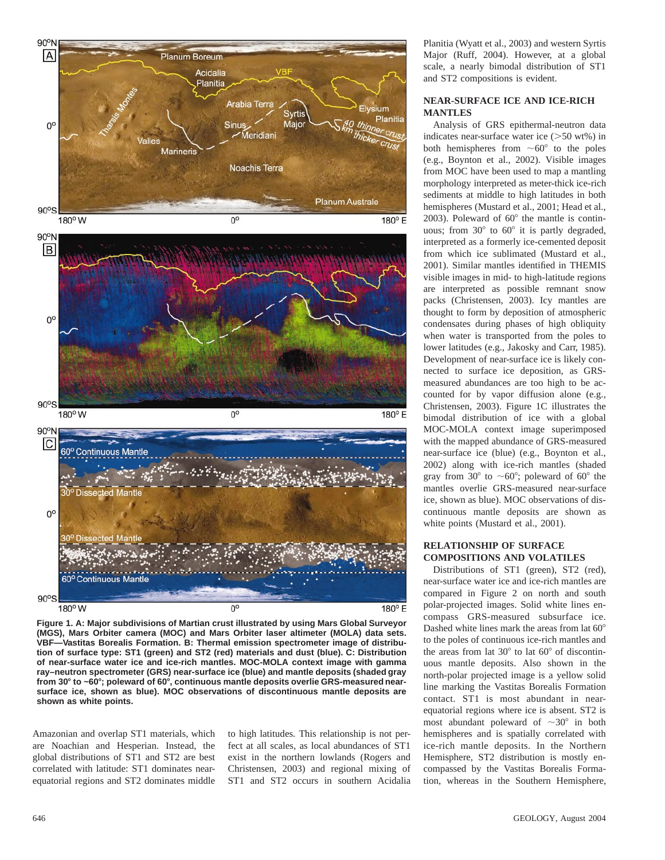

**Figure 1. A: Major subdivisions of Martian crust illustrated by using Mars Global Surveyor (MGS), Mars Orbiter camera (MOC) and Mars Orbiter laser altimeter (MOLA) data sets. VBF—Vastitas Borealis Formation. B: Thermal emission spectrometer image of distribution of surface type: ST1 (green) and ST2 (red) materials and dust (blue). C: Distribution of near-surface water ice and ice-rich mantles. MOC-MOLA context image with gamma ray–neutron spectrometer (GRS) near-surface ice (blue) and mantle deposits (shaded gray from 30**8 **to ~60**8**; poleward of 60**8**, continuous mantle deposits overlie GRS-measured nearsurface ice, shown as blue). MOC observations of discontinuous mantle deposits are shown as white points.**

Amazonian and overlap ST1 materials, which are Noachian and Hesperian. Instead, the global distributions of ST1 and ST2 are best correlated with latitude: ST1 dominates nearequatorial regions and ST2 dominates middle

to high latitudes. This relationship is not perfect at all scales, as local abundances of ST1 exist in the northern lowlands (Rogers and Christensen, 2003) and regional mixing of ST1 and ST2 occurs in southern Acidalia Planitia (Wyatt et al., 2003) and western Syrtis Major (Ruff, 2004). However, at a global scale, a nearly bimodal distribution of ST1 and ST2 compositions is evident.

# **NEAR-SURFACE ICE AND ICE-RICH MANTLES**

Analysis of GRS epithermal-neutron data indicates near-surface water ice  $(>=50$  wt%) in both hemispheres from  $\sim 60^{\circ}$  to the poles (e.g., Boynton et al., 2002). Visible images from MOC have been used to map a mantling morphology interpreted as meter-thick ice-rich sediments at middle to high latitudes in both hemispheres (Mustard et al., 2001; Head et al., 2003). Poleward of  $60^{\circ}$  the mantle is continuous; from  $30^{\circ}$  to  $60^{\circ}$  it is partly degraded, interpreted as a formerly ice-cemented deposit from which ice sublimated (Mustard et al., 2001). Similar mantles identified in THEMIS visible images in mid- to high-latitude regions are interpreted as possible remnant snow packs (Christensen, 2003). Icy mantles are thought to form by deposition of atmospheric condensates during phases of high obliquity when water is transported from the poles to lower latitudes (e.g., Jakosky and Carr, 1985). Development of near-surface ice is likely connected to surface ice deposition, as GRSmeasured abundances are too high to be accounted for by vapor diffusion alone (e.g., Christensen, 2003). Figure 1C illustrates the bimodal distribution of ice with a global MOC-MOLA context image superimposed with the mapped abundance of GRS-measured near-surface ice (blue) (e.g., Boynton et al., 2002) along with ice-rich mantles (shaded gray from 30 $\degree$  to  $\sim$  60 $\degree$ ; poleward of 60 $\degree$  the mantles overlie GRS-measured near-surface ice, shown as blue). MOC observations of discontinuous mantle deposits are shown as white points (Mustard et al., 2001).

# **RELATIONSHIP OF SURFACE COMPOSITIONS AND VOLATILES**

Distributions of ST1 (green), ST2 (red), near-surface water ice and ice-rich mantles are compared in Figure 2 on north and south polar-projected images. Solid white lines encompass GRS-measured subsurface ice. Dashed white lines mark the areas from lat  $60^\circ$ to the poles of continuous ice-rich mantles and the areas from lat  $30^{\circ}$  to lat  $60^{\circ}$  of discontinuous mantle deposits. Also shown in the north-polar projected image is a yellow solid line marking the Vastitas Borealis Formation contact. ST1 is most abundant in nearequatorial regions where ice is absent. ST2 is most abundant poleward of  $\sim 30^{\circ}$  in both hemispheres and is spatially correlated with ice-rich mantle deposits. In the Northern Hemisphere, ST2 distribution is mostly encompassed by the Vastitas Borealis Formation, whereas in the Southern Hemisphere,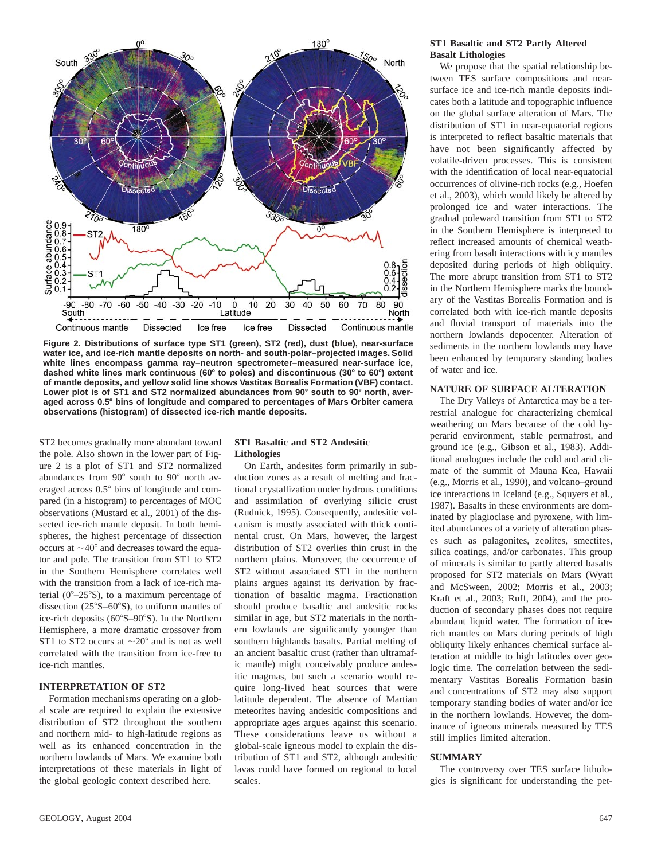

**Figure 2. Distributions of surface type ST1 (green), ST2 (red), dust (blue), near-surface water ice, and ice-rich mantle deposits on north- and south-polar–projected images. Solid white lines encompass gamma ray–neutron spectrometer–measured near-surface ice, dashed white lines mark continuous (60**8 **to poles) and discontinuous (30**8 **to 60**8**) extent of mantle deposits, and yellow solid line shows Vastitas Borealis Formation (VBF) contact.** Lower plot is of ST1 and ST2 normalized abundances from 90° south to 90° north, aver**aged across 0.5**8 **bins of longitude and compared to percentages of Mars Orbiter camera observations (histogram) of dissected ice-rich mantle deposits.**

ST2 becomes gradually more abundant toward the pole. Also shown in the lower part of Figure 2 is a plot of ST1 and ST2 normalized abundances from  $90^\circ$  south to  $90^\circ$  north averaged across  $0.5^{\circ}$  bins of longitude and compared (in a histogram) to percentages of MOC observations (Mustard et al., 2001) of the dissected ice-rich mantle deposit. In both hemispheres, the highest percentage of dissection occurs at  $\sim$ 40 $\degree$  and decreases toward the equator and pole. The transition from ST1 to ST2 in the Southern Hemisphere correlates well with the transition from a lack of ice-rich material ( $0^{\circ}-25^{\circ}$ S), to a maximum percentage of dissection  $(25^{\circ}S-60^{\circ}S)$ , to uniform mantles of ice-rich deposits  $(60^{\circ}S-90^{\circ}S)$ . In the Northern Hemisphere, a more dramatic crossover from ST1 to ST2 occurs at  $\sim$ 20 $^{\circ}$  and is not as well correlated with the transition from ice-free to ice-rich mantles.

# **INTERPRETATION OF ST2**

Formation mechanisms operating on a global scale are required to explain the extensive distribution of ST2 throughout the southern and northern mid- to high-latitude regions as well as its enhanced concentration in the northern lowlands of Mars. We examine both interpretations of these materials in light of the global geologic context described here.

### **ST1 Basaltic and ST2 Andesitic Lithologies**

On Earth, andesites form primarily in subduction zones as a result of melting and fractional crystallization under hydrous conditions and assimilation of overlying silicic crust (Rudnick, 1995). Consequently, andesitic volcanism is mostly associated with thick continental crust. On Mars, however, the largest distribution of ST2 overlies thin crust in the northern plains. Moreover, the occurrence of ST2 without associated ST1 in the northern plains argues against its derivation by fractionation of basaltic magma. Fractionation should produce basaltic and andesitic rocks similar in age, but ST2 materials in the northern lowlands are significantly younger than southern highlands basalts. Partial melting of an ancient basaltic crust (rather than ultramafic mantle) might conceivably produce andesitic magmas, but such a scenario would require long-lived heat sources that were latitude dependent. The absence of Martian meteorites having andesitic compositions and appropriate ages argues against this scenario. These considerations leave us without a global-scale igneous model to explain the distribution of ST1 and ST2, although andesitic lavas could have formed on regional to local scales.

#### **ST1 Basaltic and ST2 Partly Altered Basalt Lithologies**

We propose that the spatial relationship between TES surface compositions and nearsurface ice and ice-rich mantle deposits indicates both a latitude and topographic influence on the global surface alteration of Mars. The distribution of ST1 in near-equatorial regions is interpreted to reflect basaltic materials that have not been significantly affected by volatile-driven processes. This is consistent with the identification of local near-equatorial occurrences of olivine-rich rocks (e.g., Hoefen et al., 2003), which would likely be altered by prolonged ice and water interactions. The gradual poleward transition from ST1 to ST2 in the Southern Hemisphere is interpreted to reflect increased amounts of chemical weathering from basalt interactions with icy mantles deposited during periods of high obliquity. The more abrupt transition from ST1 to ST2 in the Northern Hemisphere marks the boundary of the Vastitas Borealis Formation and is correlated both with ice-rich mantle deposits and fluvial transport of materials into the northern lowlands depocenter. Alteration of sediments in the northern lowlands may have been enhanced by temporary standing bodies of water and ice.

# **NATURE OF SURFACE ALTERATION**

The Dry Valleys of Antarctica may be a terrestrial analogue for characterizing chemical weathering on Mars because of the cold hyperarid environment, stable permafrost, and ground ice (e.g., Gibson et al., 1983). Additional analogues include the cold and arid climate of the summit of Mauna Kea, Hawaii (e.g., Morris et al., 1990), and volcano–ground ice interactions in Iceland (e.g., Squyers et al., 1987). Basalts in these environments are dominated by plagioclase and pyroxene, with limited abundances of a variety of alteration phases such as palagonites, zeolites, smectites, silica coatings, and/or carbonates. This group of minerals is similar to partly altered basalts proposed for ST2 materials on Mars (Wyatt and McSween, 2002; Morris et al., 2003; Kraft et al., 2003; Ruff, 2004), and the production of secondary phases does not require abundant liquid water. The formation of icerich mantles on Mars during periods of high obliquity likely enhances chemical surface alteration at middle to high latitudes over geologic time. The correlation between the sedimentary Vastitas Borealis Formation basin and concentrations of ST2 may also support temporary standing bodies of water and/or ice in the northern lowlands. However, the dominance of igneous minerals measured by TES still implies limited alteration.

#### **SUMMARY**

The controversy over TES surface lithologies is significant for understanding the pet